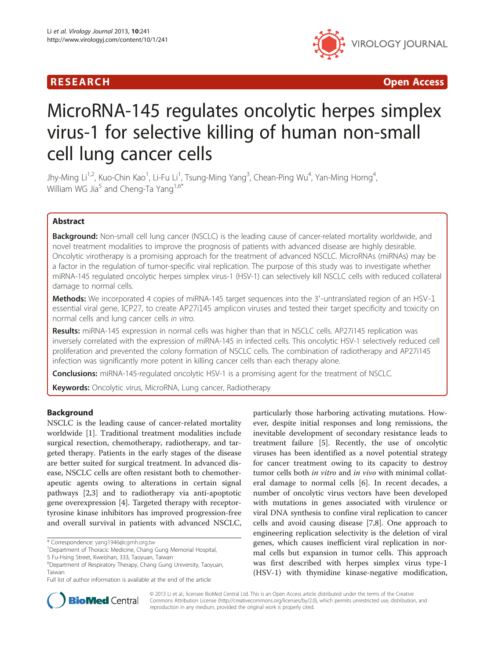

R E S EAR CH Open Access

# MicroRNA-145 regulates oncolytic herpes simplex virus-1 for selective killing of human non-small cell lung cancer cells

Jhy-Ming Li<sup>1,2</sup>, Kuo-Chin Kao<sup>1</sup>, Li-Fu Li<sup>1</sup>, Tsung-Ming Yang<sup>3</sup>, Chean-Ping Wu<sup>4</sup>, Yan-Ming Horng<sup>4</sup> , William WG Jia<sup>5</sup> and Cheng-Ta Yang<sup>1,6\*</sup>

# Abstract

Background: Non-small cell lung cancer (NSCLC) is the leading cause of cancer-related mortality worldwide, and novel treatment modalities to improve the prognosis of patients with advanced disease are highly desirable. Oncolytic virotherapy is a promising approach for the treatment of advanced NSCLC. MicroRNAs (miRNAs) may be a factor in the regulation of tumor-specific viral replication. The purpose of this study was to investigate whether miRNA-145 regulated oncolytic herpes simplex virus-1 (HSV-1) can selectively kill NSCLC cells with reduced collateral damage to normal cells.

Methods: We incorporated 4 copies of miRNA-145 target sequences into the 3'-untranslated region of an HSV-1 essential viral gene, ICP27, to create AP27i145 amplicon viruses and tested their target specificity and toxicity on normal cells and lung cancer cells in vitro.

Results: miRNA-145 expression in normal cells was higher than that in NSCLC cells. AP27i145 replication was inversely correlated with the expression of miRNA-145 in infected cells. This oncolytic HSV-1 selectively reduced cell proliferation and prevented the colony formation of NSCLC cells. The combination of radiotherapy and AP27i145 infection was significantly more potent in killing cancer cells than each therapy alone.

**Conclusions:** miRNA-145-regulated oncolytic HSV-1 is a promising agent for the treatment of NSCLC.

Keywords: Oncolytic virus, MicroRNA, Lung cancer, Radiotherapy

# Background

NSCLC is the leading cause of cancer-related mortality worldwide [\[1](#page-7-0)]. Traditional treatment modalities include surgical resection, chemotherapy, radiotherapy, and targeted therapy. Patients in the early stages of the disease are better suited for surgical treatment. In advanced disease, NSCLC cells are often resistant both to chemotherapeutic agents owing to alterations in certain signal pathways [\[2,3](#page-7-0)] and to radiotherapy via anti-apoptotic gene overexpression [[4\]](#page-7-0). Targeted therapy with receptortyrosine kinase inhibitors has improved progression-free and overall survival in patients with advanced NSCLC,

particularly those harboring activating mutations. However, despite initial responses and long remissions, the inevitable development of secondary resistance leads to treatment failure [[5\]](#page-7-0). Recently, the use of oncolytic viruses has been identified as a novel potential strategy for cancer treatment owing to its capacity to destroy tumor cells both in vitro and in vivo with minimal collateral damage to normal cells [\[6\]](#page-8-0). In recent decades, a number of oncolytic virus vectors have been developed with mutations in genes associated with virulence or viral DNA synthesis to confine viral replication to cancer cells and avoid causing disease [\[7,8](#page-8-0)]. One approach to engineering replication selectivity is the deletion of viral genes, which causes inefficient viral replication in normal cells but expansion in tumor cells. This approach was first described with herpes simplex virus type-1 (HSV-1) with thymidine kinase-negative modification,



© 2013 Li et al.; licensee BioMed Central Ltd. This is an Open Access article distributed under the terms of the Creative Commons Attribution License [\(http://creativecommons.org/licenses/by/2.0\)](http://creativecommons.org/licenses/by/2.0), which permits unrestricted use, distribution, and reproduction in any medium, provided the original work is properly cited.

<sup>\*</sup> Correspondence: [yang1946@cgmh.org.tw](mailto:yang1946@cgmh.org.tw) <sup>1</sup>

<sup>&</sup>lt;sup>1</sup> Department of Thoracic Medicine, Chang Gung Memorial Hospital,

<sup>5</sup> Fu-Hsing Street, Kweishan, 333, Taoyuan, Taiwan

<sup>6</sup> Department of Respiratory Therapy, Chang Gung University, Taoyuan, Taiwan

Full list of author information is available at the end of the article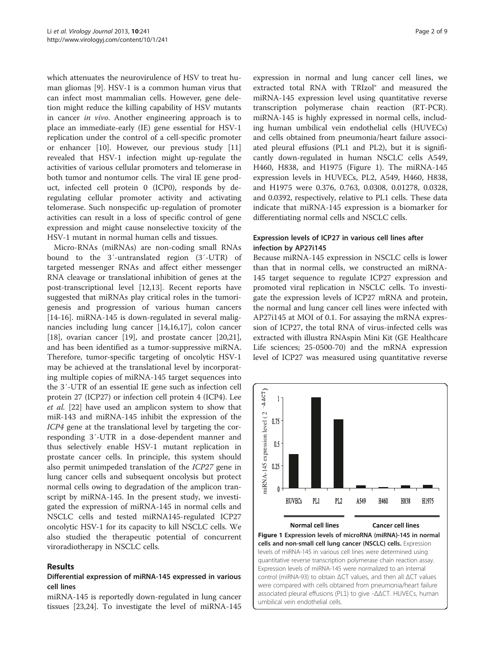<span id="page-1-0"></span>which attenuates the neurovirulence of HSV to treat human gliomas [\[9](#page-8-0)]. HSV-1 is a common human virus that can infect most mammalian cells. However, gene deletion might reduce the killing capability of HSV mutants in cancer in vivo. Another engineering approach is to place an immediate-early (IE) gene essential for HSV-1 replication under the control of a cell-specific promoter or enhancer [[10\]](#page-8-0). However, our previous study [[11](#page-8-0)] revealed that HSV-1 infection might up-regulate the activities of various cellular promoters and telomerase in both tumor and nontumor cells. The viral IE gene product, infected cell protein 0 (ICP0), responds by deregulating cellular promoter activity and activating telomerase. Such nonspecific up-regulation of promoter activities can result in a loss of specific control of gene expression and might cause nonselective toxicity of the HSV-1 mutant in normal human cells and tissues.

Micro-RNAs (miRNAs) are non-coding small RNAs bound to the 3′-untranslated region (3′-UTR) of targeted messenger RNAs and affect either messenger RNA cleavage or translational inhibition of genes at the post-transcriptional level [\[12,13](#page-8-0)]. Recent reports have suggested that miRNAs play critical roles in the tumorigenesis and progression of various human cancers [[14-16](#page-8-0)]. miRNA-145 is down-regulated in several malignancies including lung cancer [\[14,16,17](#page-8-0)], colon cancer [[18\]](#page-8-0), ovarian cancer [\[19\]](#page-8-0), and prostate cancer [\[20,21](#page-8-0)], and has been identified as a tumor-suppressive miRNA. Therefore, tumor-specific targeting of oncolytic HSV-1 may be achieved at the translational level by incorporating multiple copies of miRNA-145 target sequences into the 3′-UTR of an essential IE gene such as infection cell protein 27 (ICP27) or infection cell protein 4 (ICP4). Lee et al. [[22\]](#page-8-0) have used an amplicon system to show that miR-143 and miRNA-145 inhibit the expression of the ICP4 gene at the translational level by targeting the corresponding 3′-UTR in a dose-dependent manner and thus selectively enable HSV-1 mutant replication in prostate cancer cells. In principle, this system should also permit unimpeded translation of the ICP27 gene in lung cancer cells and subsequent oncolysis but protect normal cells owing to degradation of the amplicon transcript by miRNA-145. In the present study, we investigated the expression of miRNA-145 in normal cells and NSCLC cells and tested miRNA145-regulated ICP27 oncolytic HSV-1 for its capacity to kill NSCLC cells. We also studied the therapeutic potential of concurrent viroradiotherapy in NSCLC cells.

#### Results

# Differential expression of miRNA-145 expressed in various cell lines

miRNA-145 is reportedly down-regulated in lung cancer tissues [\[23,24](#page-8-0)]. To investigate the level of miRNA-145

expression in normal and lung cancer cell lines, we extracted total RNA with TRIzol® and measured the miRNA-145 expression level using quantitative reverse transcription polymerase chain reaction (RT-PCR). miRNA-145 is highly expressed in normal cells, including human umbilical vein endothelial cells (HUVECs) and cells obtained from pneumonia/heart failure associated pleural effusions (PL1 and PL2), but it is significantly down-regulated in human NSCLC cells A549, H460, H838, and H1975 (Figure 1). The miRNA-145 expression levels in HUVECs, PL2, A549, H460, H838, and H1975 were 0.376, 0.763, 0.0308, 0.01278, 0.0328, and 0.0392, respectively, relative to PL1 cells. These data indicate that miRNA-145 expression is a biomarker for differentiating normal cells and NSCLC cells.

#### Expression levels of ICP27 in various cell lines after infection by AP27i145

Because miRNA-145 expression in NSCLC cells is lower than that in normal cells, we constructed an miRNA-145 target sequence to regulate ICP27 expression and promoted viral replication in NSCLC cells. To investigate the expression levels of ICP27 mRNA and protein, the normal and lung cancer cell lines were infected with AP27i145 at MOI of 0.1. For assaying the mRNA expression of ICP27, the total RNA of virus-infected cells was extracted with illustra RNAspin Mini Kit (GE Healthcare Life sciences; 25-0500-70) and the mRNA expression level of ICP27 was measured using quantitative reverse



umbilical vein endothelial cells.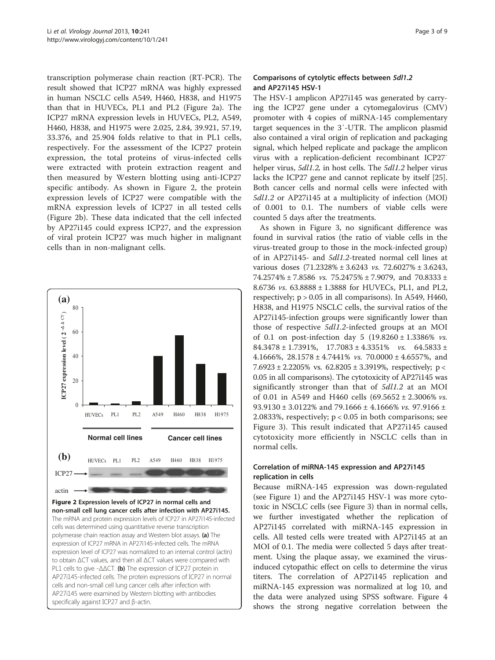transcription polymerase chain reaction (RT-PCR). The result showed that ICP27 mRNA was highly expressed in human NSCLC cells A549, H460, H838, and H1975 than that in HUVECs, PL1 and PL2 (Figure 2a). The ICP27 mRNA expression levels in HUVECs, PL2, A549, H460, H838, and H1975 were 2.025, 2.84, 39.921, 57.19, 33.376, and 25.904 folds relative to that in PL1 cells, respectively. For the assessment of the ICP27 protein expression, the total proteins of virus-infected cells were extracted with protein extraction reagent and then measured by Western blotting using anti-ICP27 specific antibody. As shown in Figure 2, the protein expression levels of ICP27 were compatible with the mRNA expression levels of ICP27 in all tested cells (Figure 2b). These data indicated that the cell infected by AP27i145 could express ICP27, and the expression of viral protein ICP27 was much higher in malignant cells than in non-malignant cells.



# Comparisons of cytolytic effects between 5dl1.2 and AP27i145 HSV-1

The HSV-1 amplicon AP27i145 was generated by carrying the ICP27 gene under a cytomegalovirus (CMV) promoter with 4 copies of miRNA-145 complementary target sequences in the 3′-UTR. The amplicon plasmid also contained a viral origin of replication and packaging signal, which helped replicate and package the amplicon virus with a replication-deficient recombinant ICP27 helper virus, 5dl1.2, in host cells. The 5dl1.2 helper virus lacks the ICP27 gene and cannot replicate by itself [\[25](#page-8-0)]. Both cancer cells and normal cells were infected with 5dl1.2 or AP27i145 at a multiplicity of infection (MOI) of 0.001 to 0.1. The numbers of viable cells were counted 5 days after the treatments.

As shown in Figure [3,](#page-4-0) no significant difference was found in survival ratios (the ratio of viable cells in the virus-treated group to those in the mock-infected group) of in AP27i145- and 5dl1.2-treated normal cell lines at various doses (71.2328% ± 3.6243 vs. 72.6027% ± 3.6243, 74.2574%  $\pm$  7.8586 *vs.* 75.2475%  $\pm$  7.9079, and 70.8333  $\pm$ 8.6736 vs. 63.8888 ± 1.3888 for HUVECs, PL1, and PL2, respectively;  $p > 0.05$  in all comparisons). In A549, H460, H838, and H1975 NSCLC cells, the survival ratios of the AP27i145-infection groups were significantly lower than those of respective 5dl1.2-infected groups at an MOI of 0.1 on post-infection day 5  $(19.8260 \pm 1.3386\% \text{ }\nu s.$  $84.3478 \pm 1.7391\%, 17.7083 \pm 4.3351\%$  vs.  $64.5833 \pm 1.7391\%$ 4.1666%,  $28.1578 \pm 4.7441$ % vs. 70.0000  $\pm$  4.6557%, and 7.6923 ± 2.2205% vs. 62.8205 ± 3.3919%, respectively; p < 0.05 in all comparisons). The cytotoxicity of AP27i145 was significantly stronger than that of 5dl1.2 at an MOI of 0.01 in A549 and H460 cells  $(69.5652 \pm 2.3006\% \text{ vs.})$ 93.9130 ± 3.0122% and 79.1666 ± 4.1666% vs. 97.9166 ± 2.0833%, respectively; p < 0.05 in both comparisons; see Figure [3\)](#page-4-0). This result indicated that AP27i145 caused cytotoxicity more efficiently in NSCLC cells than in normal cells.

# Correlation of miRNA-145 expression and AP27i145 replication in cells

Because miRNA-145 expression was down-regulated (see Figure [1](#page-1-0)) and the AP27i145 HSV-1 was more cytotoxic in NSCLC cells (see Figure [3](#page-4-0)) than in normal cells, we further investigated whether the replication of AP27i145 correlated with miRNA-145 expression in cells. All tested cells were treated with AP27i145 at an MOI of 0.1. The media were collected 5 days after treatment. Using the plaque assay, we examined the virusinduced cytopathic effect on cells to determine the virus titers. The correlation of AP27i145 replication and miRNA-145 expression was normalized at log 10, and the data were analyzed using SPSS software. Figure [4](#page-4-0) shows the strong negative correlation between the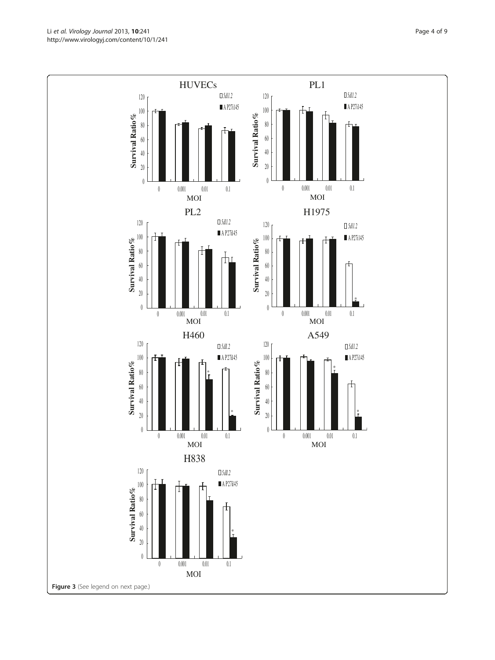Li et al. Virology Journal 2013, 10:241 **Page 4 of 9** Page 4 of 9 http://www.virologyj.com/content/10/1/241

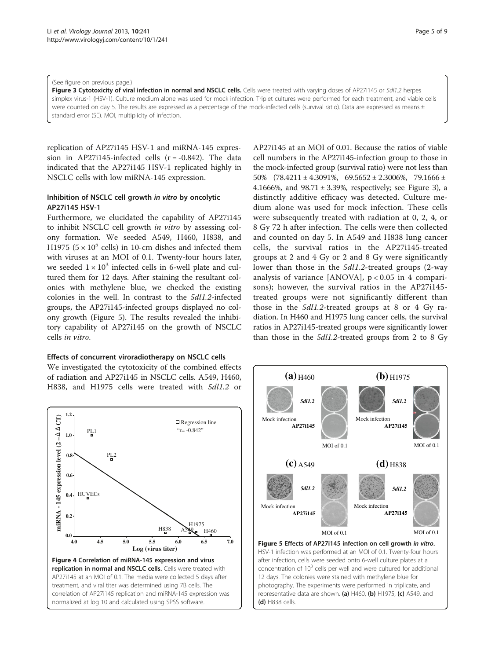#### <span id="page-4-0"></span>(See figure on previous page.)

Figure 3 Cytotoxicity of viral infection in normal and NSCLC cells. Cells were treated with varying doses of AP27i145 or 5dl1.2 herpes simplex virus-1 (HSV-1). Culture medium alone was used for mock infection. Triplet cultures were performed for each treatment, and viable cells were counted on day 5. The results are expressed as a percentage of the mock-infected cells (survival ratio). Data are expressed as means ± standard error (SE). MOI, multiplicity of infection.

replication of AP27i145 HSV-1 and miRNA-145 expression in AP27i145-infected cells  $(r = -0.842)$ . The data indicated that the AP27i145 HSV-1 replicated highly in NSCLC cells with low miRNA-145 expression.

# Inhibition of NSCLC cell growth in vitro by oncolytic AP27i145 HSV-1

Furthermore, we elucidated the capability of AP27i145 to inhibit NSCLC cell growth in vitro by assessing colony formation. We seeded A549, H460, H838, and H1975 ( $5 \times 10^5$  cells) in 10-cm dishes and infected them with viruses at an MOI of 0.1. Twenty-four hours later, we seeded  $1 \times 10^3$  infected cells in 6-well plate and cultured them for 12 days. After staining the resultant colonies with methylene blue, we checked the existing colonies in the well. In contrast to the 5dl1.2-infected groups, the AP27i145-infected groups displayed no colony growth (Figure 5). The results revealed the inhibitory capability of AP27i145 on the growth of NSCLC cells in vitro.

#### Effects of concurrent viroradiotherapy on NSCLC cells

We investigated the cytotoxicity of the combined effects of radiation and AP27i145 in NSCLC cells. A549, H460, H838, and H1975 cells were treated with 5dl1.2 or

**1.2** miRNA - 145 expression level  $(2 - \Delta \Delta C T)$ **miRNA - 145 expression level (2 – CT)** □ Regression line PL1  $r = -0.842$ " **1.0 0.8** PL2 **0.6** HUVECs **0.4 0.2** H1975 H838 H460  $0.0 +$ <br>40 **4.0 4.5 5.0 5.5 6.0 6.5 7.0 Log (virus titer)**  Figure 4 Correlation of miRNA-145 expression and virus replication in normal and NSCLC cells. Cells were treated with AP27i145 at an MOI of 0.1. The media were collected 5 days after treatment, and viral titer was determined using 7B cells. The correlation of AP27i145 replication and miRNA-145 expression was normalized at log 10 and calculated using SPSS software.

AP27i145 at an MOI of 0.01. Because the ratios of viable cell numbers in the AP27i145-infection group to those in the mock-infected group (survival ratio) were not less than 50%  $(78.4211 \pm 4.3091\%, 69.5652 \pm 2.3006\%, 79.1666 \pm$ 4.1666%, and  $98.71 \pm 3.39$ %, respectively; see Figure 3), a distinctly additive efficacy was detected. Culture medium alone was used for mock infection. These cells were subsequently treated with radiation at 0, 2, 4, or 8 Gy 72 h after infection. The cells were then collected and counted on day 5. In A549 and H838 lung cancer cells, the survival ratios in the AP27i145-treated groups at 2 and 4 Gy or 2 and 8 Gy were significantly lower than those in the 5dl1.2-treated groups (2-way analysis of variance [ANOVA],  $p < 0.05$  in 4 comparisons); however, the survival ratios in the AP27i145 treated groups were not significantly different than those in the 5dl1.2-treated groups at 8 or 4 Gy radiation. In H460 and H1975 lung cancer cells, the survival ratios in AP27i145-treated groups were significantly lower than those in the 5dl1.2-treated groups from 2 to 8 Gy



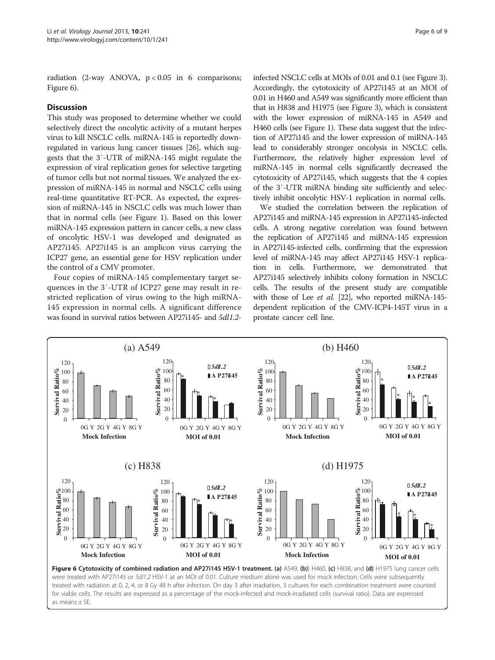radiation (2-way ANOVA,  $p < 0.05$  in 6 comparisons; Figure 6).

#### **Discussion**

This study was proposed to determine whether we could selectively direct the oncolytic activity of a mutant herpes virus to kill NSCLC cells. miRNA-145 is reportedly downregulated in various lung cancer tissues [[26](#page-8-0)], which suggests that the 3′-UTR of miRNA-145 might regulate the expression of viral replication genes for selective targeting of tumor cells but not normal tissues. We analyzed the expression of miRNA-145 in normal and NSCLC cells using real-time quantitative RT-PCR. As expected, the expression of miRNA-145 in NSCLC cells was much lower than that in normal cells (see Figure [1\)](#page-1-0). Based on this lower miRNA-145 expression pattern in cancer cells, a new class of oncolytic HSV-1 was developed and designated as AP27i145. AP27i145 is an amplicon virus carrying the ICP27 gene, an essential gene for HSV replication under the control of a CMV promoter.

Four copies of miRNA-145 complementary target sequences in the 3′-UTR of ICP27 gene may result in restricted replication of virus owing to the high miRNA-145 expression in normal cells. A significant difference was found in survival ratios between AP27i145- and 5dl1.2infected NSCLC cells at MOIs of 0.01 and 0.1 (see Figure [3](#page-4-0)). Accordingly, the cytotoxicity of AP27i145 at an MOI of 0.01 in H460 and A549 was significantly more efficient than that in H838 and H1975 (see Figure [3\)](#page-4-0), which is consistent with the lower expression of miRNA-145 in A549 and H460 cells (see Figure [1\)](#page-1-0). These data suggest that the infection of AP27i145 and the lower expression of miRNA-145 lead to considerably stronger oncolysis in NSCLC cells. Furthermore, the relatively higher expression level of miRNA-145 in normal cells significantly decreased the cytotoxicity of AP27i145, which suggests that the 4 copies of the 3′-UTR miRNA binding site sufficiently and selectively inhibit oncolytic HSV-1 replication in normal cells.

We studied the correlation between the replication of AP27i145 and miRNA-145 expression in AP27i145-infected cells. A strong negative correlation was found between the replication of AP27i145 and miRNA-145 expression in AP27i145-infected cells, confirming that the expression level of miRNA-145 may affect AP27i145 HSV-1 replication in cells. Furthermore, we demonstrated that AP27i145 selectively inhibits colony formation in NSCLC cells. The results of the present study are compatible with those of Lee et al. [\[22](#page-8-0)], who reported miRNA-145dependent replication of the CMV-ICP4-145T virus in a prostate cancer cell line.

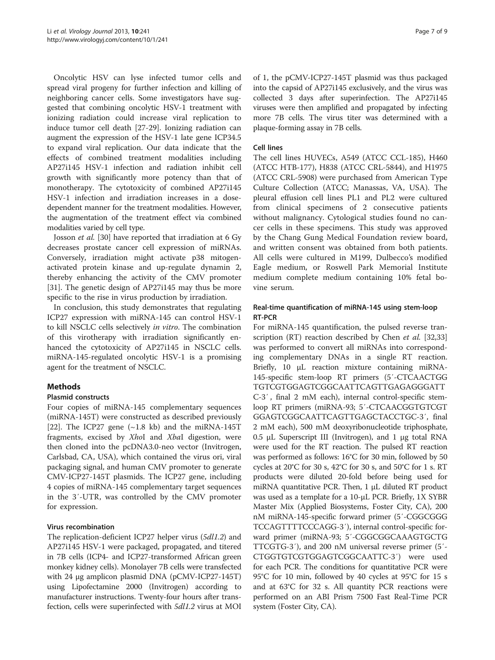Oncolytic HSV can lyse infected tumor cells and spread viral progeny for further infection and killing of neighboring cancer cells. Some investigators have suggested that combining oncolytic HSV-1 treatment with ionizing radiation could increase viral replication to induce tumor cell death [[27](#page-8-0)-[29\]](#page-8-0). Ionizing radiation can augment the expression of the HSV-1 late gene ICP34.5 to expand viral replication. Our data indicate that the effects of combined treatment modalities including AP27i145 HSV-1 infection and radiation inhibit cell growth with significantly more potency than that of monotherapy. The cytotoxicity of combined AP27i145 HSV-1 infection and irradiation increases in a dosedependent manner for the treatment modalities. However, the augmentation of the treatment effect via combined modalities varied by cell type.

Josson et al. [[30](#page-8-0)] have reported that irradiation at 6 Gy decreases prostate cancer cell expression of miRNAs. Conversely, irradiation might activate p38 mitogenactivated protein kinase and up-regulate dynamin 2, thereby enhancing the activity of the CMV promoter [[31\]](#page-8-0). The genetic design of AP27i145 may thus be more specific to the rise in virus production by irradiation.

In conclusion, this study demonstrates that regulating ICP27 expression with miRNA-145 can control HSV-1 to kill NSCLC cells selectively in vitro. The combination of this virotherapy with irradiation significantly enhanced the cytotoxicity of AP27i145 in NSCLC cells. miRNA-145-regulated oncolytic HSV-1 is a promising agent for the treatment of NSCLC.

# Methods

# Plasmid constructs

Four copies of miRNA-145 complementary sequences (miRNA-145T) were constructed as described previously [[22\]](#page-8-0). The ICP27 gene  $(\sim 1.8 \text{ kb})$  and the miRNA-145T fragments, excised by XhoI and XbaI digestion, were then cloned into the pcDNA3.0-neo vector (Invitrogen, Carlsbad, CA, USA), which contained the virus ori, viral packaging signal, and human CMV promoter to generate CMV-ICP27-145T plasmids. The ICP27 gene, including 4 copies of miRNA-145 complementary target sequences in the 3′-UTR, was controlled by the CMV promoter for expression.

# Virus recombination

The replication-deficient ICP27 helper virus (5dl1.2) and AP27i145 HSV-1 were packaged, propagated, and titered in 7B cells (ICP4- and ICP27-transformed African green monkey kidney cells). Monolayer 7B cells were transfected with 24 μg amplicon plasmid DNA (pCMV-ICP27-145T) using Lipofectamine 2000 (Invitrogen) according to manufacturer instructions. Twenty-four hours after transfection, cells were superinfected with 5dl1.2 virus at MOI of 1, the pCMV-ICP27-145T plasmid was thus packaged into the capsid of AP27i145 exclusively, and the virus was collected 3 days after superinfection. The AP27i145 viruses were then amplified and propagated by infecting more 7B cells. The virus titer was determined with a plaque-forming assay in 7B cells.

### Cell lines

The cell lines HUVECs, A549 (ATCC CCL-185), H460 (ATCC HTB-177), H838 (ATCC CRL-5844), and H1975 (ATCC CRL-5908) were purchased from American Type Culture Collection (ATCC; Manassas, VA, USA). The pleural effusion cell lines PL1 and PL2 were cultured from clinical specimens of 2 consecutive patients without malignancy. Cytological studies found no cancer cells in these specimens. This study was approved by the Chang Gung Medical Foundation review board, and written consent was obtained from both patients. All cells were cultured in M199, Dulbecco's modified Eagle medium, or Roswell Park Memorial Institute medium complete medium containing 10% fetal bovine serum.

# Real-time quantification of miRNA-145 using stem-loop RT-PCR

For miRNA-145 quantification, the pulsed reverse tran-scription (RT) reaction described by Chen et al. [[32](#page-8-0),[33](#page-8-0)] was performed to convert all miRNAs into corresponding complementary DNAs in a single RT reaction. Briefly, 10 μL reaction mixture containing miRNA-145-specific stem-loop RT primers (5′-CTCAACTGG TGTCGTGGAGTCGGCAATTCAGTTGAGAGGGATT C-3′ , final 2 mM each), internal control-specific stemloop RT primers (miRNA-93; 5′-CTCAACGGTGTCGT GGAGTCGGCAATTCAGTTGAGCTACCTGC-3′, final 2 mM each), 500 mM deoxyribonucleotide triphosphate, 0.5 μL Superscript III (Invitrogen), and 1 μg total RNA were used for the RT reaction. The pulsed RT reaction was performed as follows: 16°C for 30 min, followed by 50 cycles at 20°C for 30 s, 42°C for 30 s, and 50°C for 1 s. RT products were diluted 20-fold before being used for miRNA quantitative PCR. Then, 1 μL diluted RT product was used as a template for a 10-μL PCR. Briefly, 1X SYBR Master Mix (Applied Biosystems, Foster City, CA), 200 nM miRNA-145-specific forward primer (5′-CGGCGGG TCCAGTTTTCCCAGG-3′), internal control-specific forward primer (miRNA-93; 5′-CGGCGGCAAAGTGCTG TTCGTG-3′), and 200 nM universal reverse primer (5′- CTGGTGTCGTGGAGTCGGCAATTC-3′) were used for each PCR. The conditions for quantitative PCR were 95°C for 10 min, followed by 40 cycles at 95°C for 15 s and at 63°C for 32 s. All quantity PCR reactions were performed on an ABI Prism 7500 Fast Real-Time PCR system (Foster City, CA).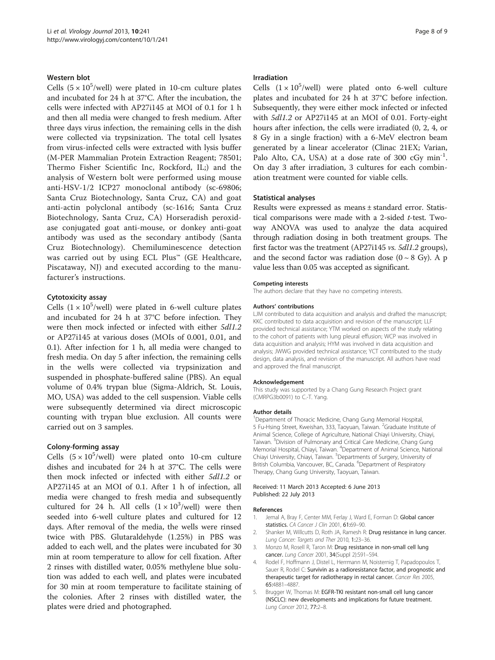#### <span id="page-7-0"></span>Western blot

Cells  $(5 \times 10^5/\text{well})$  were plated in 10-cm culture plates and incubated for 24 h at 37°C. After the incubation, the cells were infected with AP27i145 at MOI of 0.1 for 1 h and then all media were changed to fresh medium. After three days virus infection, the remaining cells in the dish were collected via trypsinization. The total cell lysates from virus-infected cells were extracted with lysis buffer (M-PER Mammalian Protein Extraction Reagent; 78501; Thermo Fisher Scientific Inc, Rockford, IL;) and the analysis of Western bolt were performed using mouse anti-HSV-1/2 ICP27 monoclonal antibody (sc-69806; Santa Cruz Biotechnology, Santa Cruz, CA) and goat anti-actin polyclonal antibody (sc-1616; Santa Cruz Biotechnology, Santa Cruz, CA) Horseradish peroxidase conjugated goat anti-mouse, or donkey anti-goat antibody was used as the secondary antibody (Santa Cruz Biotechnology). Chemiluminescence detection was carried out by using ECL Plus™ (GE Healthcare, Piscataway, NJ) and executed according to the manufacturer's instructions.

#### Cytotoxicity assay

Cells  $(1 \times 10^5/\text{well})$  were plated in 6-well culture plates and incubated for 24 h at 37°C before infection. They were then mock infected or infected with either 5dl1.2 or AP27i145 at various doses (MOIs of 0.001, 0.01, and 0.1). After infection for 1 h, all media were changed to fresh media. On day 5 after infection, the remaining cells in the wells were collected via trypsinization and suspended in phosphate-buffered saline (PBS). An equal volume of 0.4% trypan blue (Sigma-Aldrich, St. Louis, MO, USA) was added to the cell suspension. Viable cells were subsequently determined via direct microscopic counting with trypan blue exclusion. All counts were carried out on 3 samples.

#### Colony-forming assay

Cells  $(5 \times 10^5/\text{well})$  were plated onto 10-cm culture dishes and incubated for 24 h at 37°C. The cells were then mock infected or infected with either 5dl1.2 or AP27i145 at an MOI of 0.1. After 1 h of infection, all media were changed to fresh media and subsequently cultured for 24 h. All cells  $(1 \times 10^3/\text{well})$  were then seeded into 6-well culture plates and cultured for 12 days. After removal of the media, the wells were rinsed twice with PBS. Glutaraldehyde (1.25%) in PBS was added to each well, and the plates were incubated for 30 min at room temperature to allow for cell fixation. After 2 rinses with distilled water, 0.05% methylene blue solution was added to each well, and plates were incubated for 30 min at room temperature to facilitate staining of the colonies. After 2 rinses with distilled water, the plates were dried and photographed.

#### Irradiation

Cells  $(1 \times 10^5/\text{well})$  were plated onto 6-well culture plates and incubated for 24 h at 37°C before infection. Subsequently, they were either mock infected or infected with 5dl1.2 or AP27i145 at an MOI of 0.01. Forty-eight hours after infection, the cells were irradiated (0, 2, 4, or 8 Gy in a single fraction) with a 6-MeV electron beam generated by a linear accelerator (Clinac 21EX; Varian, Palo Alto, CA, USA) at a dose rate of 300 cGy min<sup>-1</sup>. On day 3 after irradiation, 3 cultures for each combination treatment were counted for viable cells.

#### Statistical analyses

Results were expressed as means ± standard error. Statistical comparisons were made with a 2-sided t-test. Twoway ANOVA was used to analyze the data acquired through radiation dosing in both treatment groups. The first factor was the treatment (AP27i145 vs. 5dl1.2 groups), and the second factor was radiation dose  $(0 \sim 8 \text{ Gy})$ . A p value less than 0.05 was accepted as significant.

#### Competing interests

The authors declare that they have no competing interests.

#### Authors' contributions

LJM contributed to data acquisition and analysis and drafted the manuscript; KKC contributed to data acquisition and revision of the manuscript; LLF provided technical assistance; YTM worked on aspects of the study relating to the cohort of patients with lung pleural effusion; WCP was involved in data acquisition and analysis; HYM was involved in data acquisition and analysis; JWWG provided technical assistance; YCT contributed to the study design, data analysis, and revision of the manuscript. All authors have read and approved the final manuscript.

#### Acknowledgement

This study was supported by a Chang Gung Research Project grant (CMRPG3b0091) to C.-T. Yang.

#### Author details

<sup>1</sup>Department of Thoracic Medicine, Chang Gung Memorial Hospital, 5 Fu-Hsing Street, Kweishan, 333, Taoyuan, Taiwan. <sup>2</sup>Graduate Institute of Animal Science, College of Agriculture, National Chiayi University, Chiayi, Taiwan. <sup>3</sup> Division of Pulmonary and Critical Care Medicine, Chang Gung Memorial Hospital, Chiayi, Taiwan. <sup>4</sup> Department of Animal Science, National Chiayi University, Chiayi, Taiwan. <sup>5</sup>Departments of Surgery, University of British Columbia, Vancouver, BC, Canada. <sup>6</sup>Department of Respiratory Therapy, Chang Gung University, Taoyuan, Taiwan.

#### Received: 11 March 2013 Accepted: 6 June 2013 Published: 22 July 2013

#### References

- 1. Jemal A, Bray F, Center MM, Ferlay J, Ward E, Forman D: Global cancer statistics. CA Cancer J Clin 2001, 61:69-90.
- 2. Shanker M, Willcutts D, Roth JA, Ramesh R: Drug resistance in lung cancer. Lung Cancer: Targets and Ther 2010, 1:23–36.
- 3. Monzo M, Rosell R, Taron M: Drug resistance in non-small cell lung cancer. Lung Cancer 2001, 34(Suppl 2):S91–S94.
- 4. Rodel F, Hoffmann J, Distel L, Herrmann M, Noisternig T, Papadopoulos T, Sauer R, Rodel C: Survivin as a radioresistance factor, and prognostic and therapeutic target for radiotherapy in rectal cancer. Cancer Res 2005, 65:4881–4887.
- 5. Brugger W, Thomas M: EGFR-TKI resistant non-small cell lung cancer (NSCLC): new developments and implications for future treatment. Lung Cancer 2012, 77:2–8.